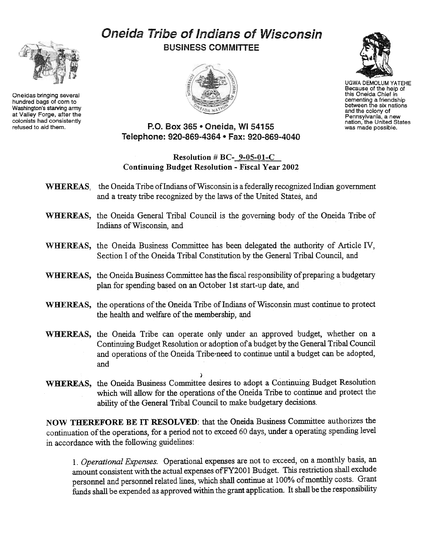# Oneida Tribe of Indians of Wisconsin BUSINESS COMMITTEE





UGWA DEMOLUM YATEHE Because of the help of this Oneida Chief in cementing a friendship<br>between the six nation and the colony of Pennsylvania. a new nation, the United States was made possible.

P.O. Box 365 · Oneida, WI 54155 Telephone: 920-869-4364 . Fax: 920-869-4040

## Resolution # BC- 9-05-01-C Continuing Budget Resolution -Fiscal Year 2002

- WHEREAS, the Oneida Tribe of Indians of Wisconsin is a federally recognized Indian government and a treaty tribe recognized by the laws of the United States, and
- WHEREAS, the Oneida General Tribal Council is the governing body of the Oneida Tribe of Indians of Wisconsin, and
- WHEREAS, the Oneida Business Committee has been delegated the authority of Article IV, Section I of the Oneida Tribal Constitution by the General Tribal Council, and
- WHEREAS, the Oneida Business Committee has the fiscal responsibility of preparing a budgetary plan for spending based on an October 1st start-up date, and
- WHEREAS, the operations of the Oneida Tribe of Indians of Wisconsin must continue to protect the health and welfare of the membership, and
- WHEREAS, the Oneida Tribe can operate only under an approved budget, whether on a Continuing Budget Resolution or adoption of a budget by the General Tribal Council and operations of the Oneida Tribe-need to continue until a budget can be adopted, and
- WHEREAS, the Oneida Business Committee desires to adopt a Continuing Budget Resolution which will allow for the operations of the Oneida Tribe to continue and protect the ability of the General Tribal Council to make budgetary decisions.

 $\Delta$ 

NOW THEREFORE BE IT RESOLVED: that the Oneida Business Committee authorizes the continuation of the operations, for a period not to exceed 60 days, under a operating spending level in accordance with the following guidelines:

1. Operational Expenses. Operational expenses are not to exceed, on a monthly basis, an amount consistent with the actual expenses of FY2001 Budget. This restriction shall exclude personnel and personnel related lines, which shall continue at 100% of monthly costs. Grant funds shall be expended as approved within the grant application. It shall be the responsibility



Oneidas bringing several hundred bags of com to Washington's starving army at Valley Forge, after the colonists had consistently refused to aid them.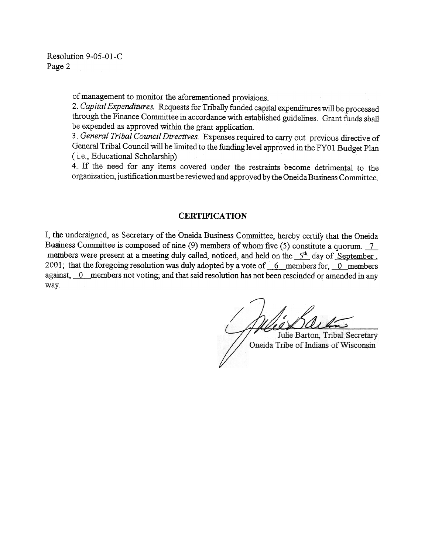Resolution 9-05-01-C Page 2

of management to monitor the aforementioned provisions.

2. Capital Expenditures. Requests for Tribally funded capital expenditures will be processed through the Finance Committee in accordance with established guidelines. Grant funds shall be expended as approved within the grant application.

3. General Tribal Council Directives. Expenses required to carry out previous directive of General Tribal Council will be limited to the funding level approved in the FYO 1 Budget Plan (i.e., Educational Scholarship)

4. If the need for any items covered under the restraints become detrimental to the organization, justification must be reviewed and approved by the Oneida Business Committee.

#### **CERTIFICATION**

I, the undersigned, as Secretary of the Oneida Business Committee, hereby certify that the Oneida Business Committee is composed of nine  $(9)$  members of whom five  $(5)$  constitute a quorum.  $\boxed{7}$ members were present at a meeting duly called, noticed, and held on the  $5<sup>th</sup>$  day of September. 2001; that the foregoing resolution was duly adopted by a vote of  $-6$  members for, 0 members against, 0 members not voting; and that said resolution has not been rescinded or amended in any way.

Julie Barton, Tribal Secretary Oneida Tribe of Indians of Wisconsin